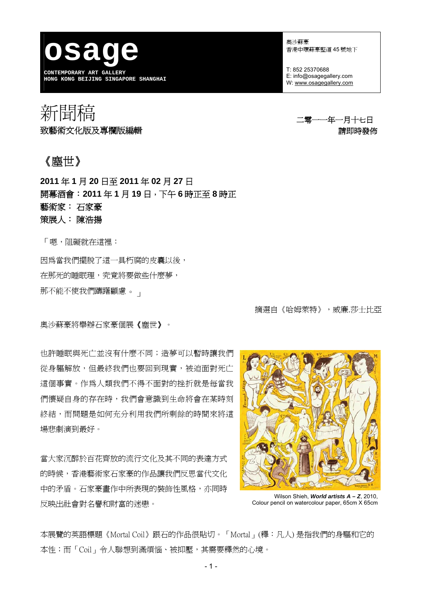**osage CONTEMPORARY ART GALLERY HONG KONG BEIJING SINGAPORE SHANGHAI** 

奧沙蘇豪 香港中環蘇豪堅道 45 號地下

T: 852 25370688 E: info@osagegallery.com W: [www.osagegallery.com](http://www.osagegallery.com/)

# 新聞稿 <sup>—</sup> 1989年 - 1989年 - 1989年 - 1989年 - 1989年 - 1989年 - 1989年 - 1989年 - 1989年 - 1989年 - 1989年 - 1989年 - 1989年 - <br>第2020年 - 1989年 - 1989年 - 1989年 - 1989年 - 1989年 - 1989年 - 1989年 - 1989年 - 1989年 - 1989年 - 1989年 - 1989年 - 198 致藝術文化版及專欄版編輯 またま こうしょう かいしょう きょうかい きょうきょう 請即時發佈

# 《塵世》

**2011** 年 **1** 月 **20** 日至 **2011** 年 **02** 月 **27** 日 開幕酒會:**2011** 年 **1** 月 **19** 日,下午 **6** 時正至 **8** 時正 藝術家: 石家豪 策展人: 陳浩揚

「嗯,阻礙就在這裡:

因為當我們擺脫了這一具朽腐的皮囊以後, 在那死的睡眠理,究竟將要做些什麼夢, 那不能不使我們躊躇顧慮。」

摘選自《哈姆萊特》,威廉.莎士比亞

奧沙蘇豪將舉辦石家豪個展《塵世》。

也許睡眠與死亡並沒有什麼不同;造夢可以暫時讓我們 從身軀解放,但最終我們也要回到現實,被迫面對死亡 這個事實。作為人類我們不得不面對的挫折就是每當我 們懷疑自身的存在時,我們會意識到生命將會在某時刻 終結,而問題是如何充分利用我們所剩餘的時間來將這 場悲劇演到最好。

當大家沉醉於百花齊放的流行文化及其不同的表達方式 的時候,香港藝術家石家豪的作品讓我們反思當代文化 中的矛盾。石家豪畫作中所表現的裝飾性風格,亦同時 反映出社會對名譽和財富的迷戀。



Wilson Shieh, *World artists A – Z*, 2010, Colour pencil on watercolour paper, 65cm X 65cm

本展覽的英語標題《Mortal Coil》跟石的作品很貼切。「Mortal」(釋:凡人) 是指我們的身驅和它的 本性;而「Coil」令人聯想到滿煩惱、被抑壓,其需要釋然的心境。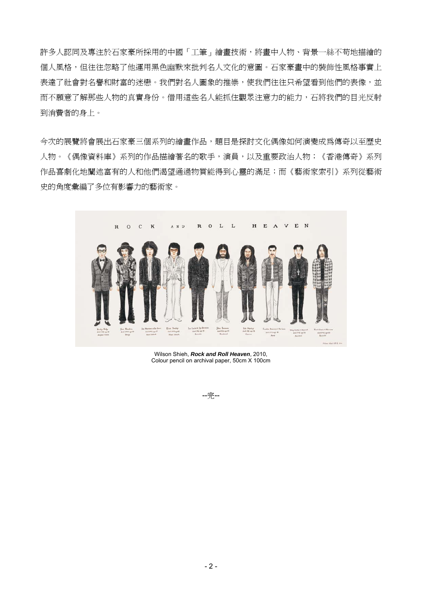許多人認同及專注於石家豪所採用的中國「工筆」繪畫技術,將畫中人物、背景一絲不苟地描繪的 個人風格,但往往忽略了他運用黑色幽默來批判名人文化的意圖。石家豪書中的裝飾性風格事實上 表達了社會對名譽和財富的迷戀。我們對名人圖象的推崇,使我們往往只希望看到他們的表像,並 而不願意了解那些人物的真實身份。借用這些名人能抓住觀眾注意力的能力,石將我們的目光反射 到消費者的身上。

今次的展覽將會展出石家豪三個系列的繪畫作品,題目是探討文化偶像如何演變成為傳奇以至歷史 人物。《偶像資料庫》系列的作品描繪著名的歌手,演員,以及重要政治人物;《香港傳奇》系列 作品喜劇化地闡述富有的人和他們渴望通過物質能得到心靈的滿足;而《藝術家索引》系列從藝術 史的角度彙編了多位有影響力的藝術家。



Wilson Shieh, *Rock and Roll Heaven*, 2010, Colour pencil on archival paper, 50cm X 100cm

--完--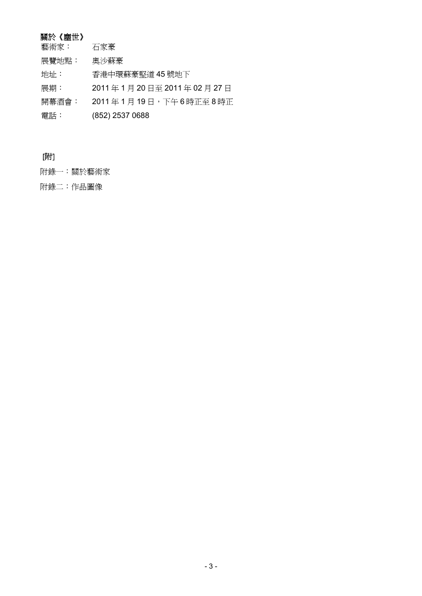## 關於《塵世》

| 關於《塵世》 |                        |
|--------|------------------------|
| 藝術家:   | 石家豪                    |
| 展覽地點:  | 奧沙蘇豪                   |
| 地址:    | 香港中環蘇豪堅道 45號地下         |
| 展期:    | 2011年1月20日至2011年02月27日 |
| 開幕酒會:  | 2011年1月19日,下午6時正至8時正   |
| 電話:    | (852) 2537 0688        |

# [附]

附錄一:關於藝術家

附錄二:作品圖像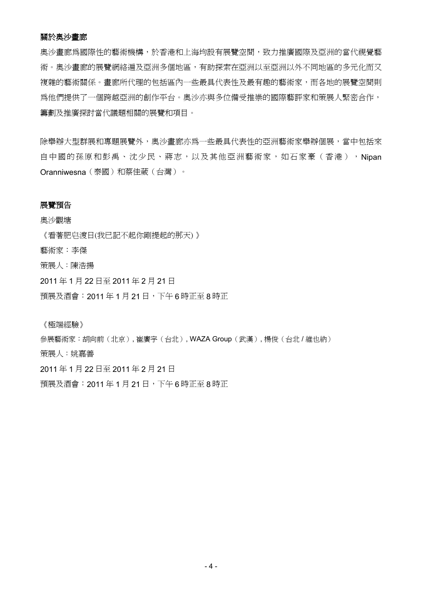#### 關於奧沙畫廊

奧沙畫廊為國際性的藝術機構,於香港和上海均設有展覽空間,致力推廣國際及亞洲的當代視覺藝 術。奧沙書廊的展覽網絡遍及亞洲多個地區,有助探索在亞洲以至亞洲以外不同地區的多元化而又 複雜的藝術關係。書廊所代理的包括區內一些最具代表性及最有趣的藝術家,而各地的展覽空間則 為他們提供了一個跨越亞洲的創作平台。奧沙亦與多位備受推崇的國際藝評家和策展人緊密合作, 籌劃及推廣探討當代議題相關的展覽和項目。

除舉辦大型群展和專題展覽外,奧沙畫廊亦為一些最具代表性的亞洲藝術家舉辦個展,當中包括來 自中國的孫原和彭禹、沈少民、蔣志,以及其他亞洲藝術家,如石家豪(香港),Nipan Oranniwesna(泰國)和蔡佳葳(台灣)。

#### 展覽預告

奧沙觀塘

《看著肥皂渡日(我已記不起你剛提起的那天) 》 藝術家:李傑 策展人:陳浩揚

2011 年 1 月 22 日至 2011 年 2 月 21 日

預展及酒會:2011 年 1 月 21 日,下午 6 時正至 8 時正

《極端經驗》

參展藝術家:胡向前(北京), 崔廣宇(台北), WAZA Group(武漢), 楊俊(台北 / 維也納) 策展人:姚嘉善 2011 年 1 月 22 日至 2011 年 2 月 21 日

預展及酒會:2011 年 1 月 21 日,下午 6 時正至 8 時正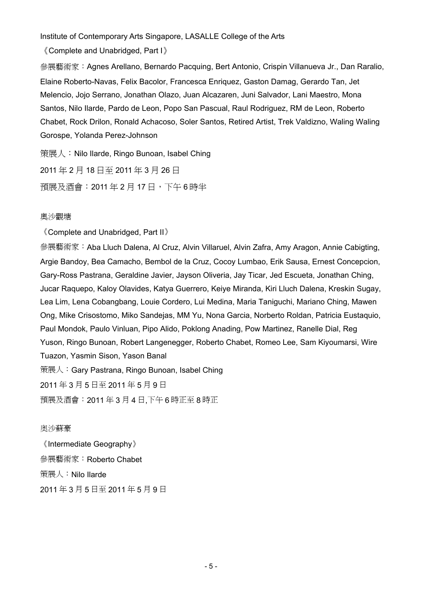Institute of Contemporary Arts Singapore, LASALLE College of the Arts

《Complete and Unabridged, Part I》

參展藝術家:Agnes Arellano, Bernardo Pacquing, Bert Antonio, Crispin Villanueva Jr., Dan Raralio, Elaine Roberto-Navas, Felix Bacolor, Francesca Enriquez, Gaston Damag, Gerardo Tan, Jet Melencio, Jojo Serrano, Jonathan Olazo, Juan Alcazaren, Juni Salvador, Lani Maestro, Mona Santos, Nilo Ilarde, Pardo de Leon, Popo San Pascual, Raul Rodriguez, RM de Leon, Roberto Chabet, Rock Drilon, Ronald Achacoso, Soler Santos, Retired Artist, Trek Valdizno, Waling Waling Gorospe, Yolanda Perez-Johnson

策展人:Nilo Ilarde, Ringo Bunoan, Isabel Ching 2011 年 2 月 18 日至 2011 年 3 月 26 日 預展及酒會:2011 年 2 月 17 日,下午 6 時半

#### 奧沙觀塘

《Complete and Unabridged, Part II》

參展藝術家:Aba Lluch Dalena, Al Cruz, Alvin Villaruel, Alvin Zafra, Amy Aragon, Annie Cabigting, Argie Bandoy, Bea Camacho, Bembol de la Cruz, Cocoy Lumbao, Erik Sausa, Ernest Concepcion, Gary-Ross Pastrana, Geraldine Javier, Jayson Oliveria, Jay Ticar, Jed Escueta, Jonathan Ching, Jucar Raquepo, Kaloy Olavides, Katya Guerrero, Keiye Miranda, Kiri Lluch Dalena, Kreskin Sugay, Lea Lim, Lena Cobangbang, Louie Cordero, Lui Medina, Maria Taniguchi, Mariano Ching, Mawen Ong, Mike Crisostomo, Miko Sandejas, MM Yu, Nona Garcia, Norberto Roldan, Patricia Eustaquio, Paul Mondok, Paulo Vinluan, Pipo Alido, Poklong Anading, Pow Martinez, Ranelle Dial, Reg Yuson, Ringo Bunoan, Robert Langenegger, Roberto Chabet, Romeo Lee, Sam Kiyoumarsi, Wire Tuazon, Yasmin Sison, Yason Banal 策展人:Gary Pastrana, Ringo Bunoan, Isabel Ching 2011 年 3 月 5 日至 2011 年 5 月 9 日

預展及酒會:2011 年 3 月 4 日,下午 6 時正至 8 時正

#### 奥沙蘇豪

《Intermediate Geography》 參展藝術家:Roberto Chabet 策展人:Nilo Ilarde 2011 年 3 月 5 日至 2011 年 5 月 9 日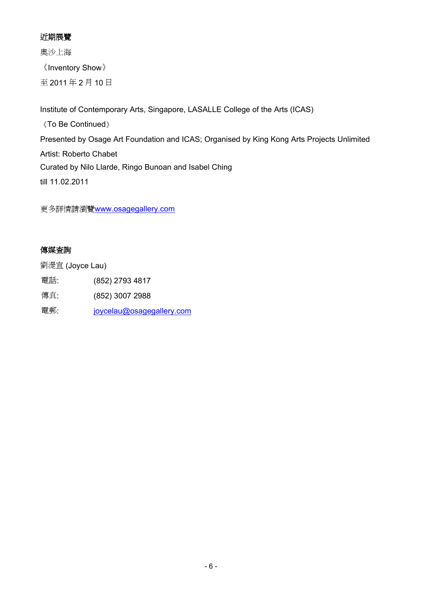### 近期展覽

奧沙上海 《Inventory Show》 至 2011 年 2 月 10 日

Institute of Contemporary Arts, Singapore, LASALLE College of the Arts (ICAS) 《To Be Continued》 Presented by Osage Art Foundation and ICAS; Organised by King Kong Arts Projects Unlimited Artist: Roberto Chabet Curated by Nilo Llarde, Ringo Bunoan and Isabel Ching till 11.02.2011

更多詳情請瀏覽[www.osagegallery.com](http://www.osagegallery.com/)

### 傳媒查詢

劉湜宜 (Joyce Lau)

電話: (852) 2793 4817

傳真: (852) 3007 2988

電郵: [joycelau@osagegallery.com](mailto:joycelau@osagegallery.com)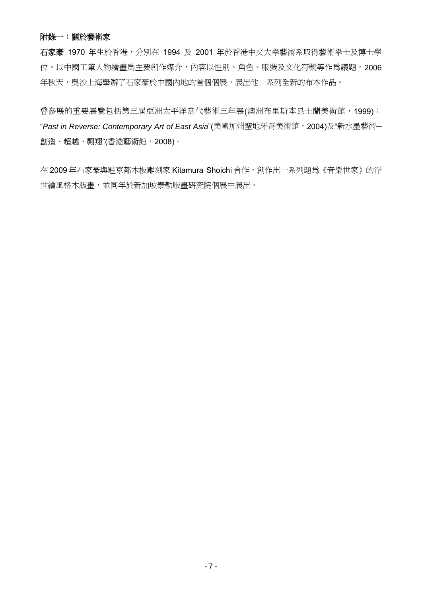#### 附錄一:關於藝術家

石家豪 1970 年生於香港,分別在 1994 及 2001 年於香港中文大學藝術系取得藝術學士及博士學 位。以中國工筆人物繪畫為主要創作媒介,內容以性別、角色、服裝及文化符號等作為議題。2006 年秋天,奧沙上海舉辦了石家豪於中國內地的首個個展,展出他一系列全新的布本作品。

曾參展的重要展覽包括第三屆亞洲太平洋當代藝術三年展(澳洲布里斯本昆士蘭美術館,1999); "*Past in Reverse: Contemporary Art of East Asia*"(美國加州聖地牙哥美術館,2004)及"新水墨藝術─ 創造、超越、翺翔"(香港藝術館,2008)。

在 2009年石家豪與駐京都木板雕刻家 Kitamura Shoichi 合作,創作出一系列題為《音樂世家》的浮 世繪風格木版畫,並同年於新加坡泰勒版畫研究院個展中展出。